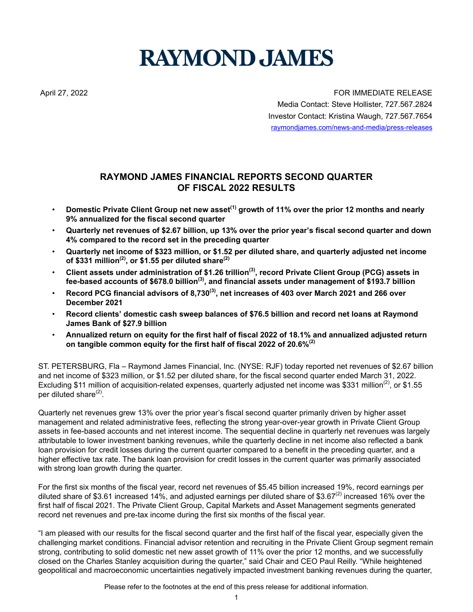# **RAYMOND JAMES**

April 27, 2022 **FOR IMMEDIATE RELEASE** Media Contact: Steve Hollister, 727.567.2824 Investor Contact: Kristina Waugh, 727.567.7654 raymondjames.com/news-and-media/press-releases

# **RAYMOND JAMES FINANCIAL REPORTS SECOND QUARTER OF FISCAL 2022 RESULTS**

- **Domestic Private Client Group net new asset(1) growth of 11% over the prior 12 months and nearly 9% annualized for the fiscal second quarter**
- **Quarterly net revenues of \$2.67 billion, up 13% over the prior year's fiscal second quarter and down 4% compared to the record set in the preceding quarter**
- **Quarterly net income of \$323 million, or \$1.52 per diluted share, and quarterly adjusted net income of \$331 million(2), or \$1.55 per diluted share(2)**
- **Client assets under administration of \$1.26 trillion(3), record Private Client Group (PCG) assets in fee-based accounts of \$678.0 billion(3), and financial assets under management of \$193.7 billion**
- **Record PCG financial advisors of 8,730(3), net increases of 403 over March 2021 and 266 over December 2021**
- **Record clients' domestic cash sweep balances of \$76.5 billion and record net loans at Raymond James Bank of \$27.9 billion**
- **Annualized return on equity for the first half of fiscal 2022 of 18.1% and annualized adjusted return on tangible common equity for the first half of fiscal 2022 of 20.6%(2)**

ST. PETERSBURG, Fla – Raymond James Financial, Inc. (NYSE: RJF) today reported net revenues of \$2.67 billion and net income of \$323 million, or \$1.52 per diluted share, for the fiscal second quarter ended March 31, 2022. Excluding \$11 million of acquisition-related expenses, quarterly adjusted net income was \$331 million<sup>(2)</sup>, or \$1.55 per diluted share<sup>(2)</sup>.

Quarterly net revenues grew 13% over the prior year's fiscal second quarter primarily driven by higher asset management and related administrative fees, reflecting the strong year-over-year growth in Private Client Group assets in fee-based accounts and net interest income. The sequential decline in quarterly net revenues was largely attributable to lower investment banking revenues, while the quarterly decline in net income also reflected a bank loan provision for credit losses during the current quarter compared to a benefit in the preceding quarter, and a higher effective tax rate. The bank loan provision for credit losses in the current quarter was primarily associated with strong loan growth during the quarter.

For the first six months of the fiscal year, record net revenues of \$5.45 billion increased 19%, record earnings per diluted share of \$3.61 increased 14%, and adjusted earnings per diluted share of \$3.67 $^{(2)}$  increased 16% over the first half of fiscal 2021. The Private Client Group, Capital Markets and Asset Management segments generated record net revenues and pre-tax income during the first six months of the fiscal year.

"I am pleased with our results for the fiscal second quarter and the first half of the fiscal year, especially given the challenging market conditions. Financial advisor retention and recruiting in the Private Client Group segment remain strong, contributing to solid domestic net new asset growth of 11% over the prior 12 months, and we successfully closed on the Charles Stanley acquisition during the quarter," said Chair and CEO Paul Reilly. "While heightened geopolitical and macroeconomic uncertainties negatively impacted investment banking revenues during the quarter,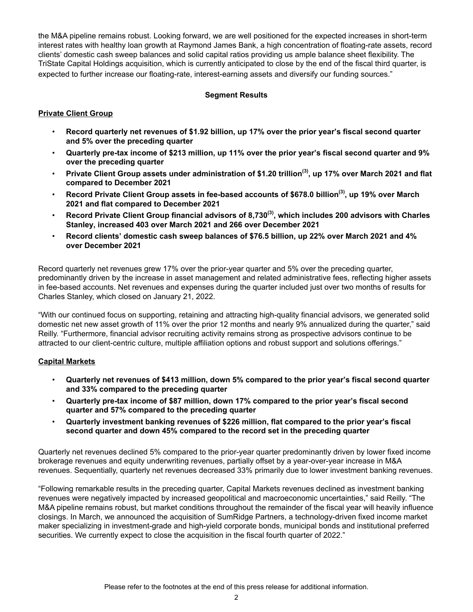the M&A pipeline remains robust. Looking forward, we are well positioned for the expected increases in short-term interest rates with healthy loan growth at Raymond James Bank, a high concentration of floating-rate assets, record clients' domestic cash sweep balances and solid capital ratios providing us ample balance sheet flexibility. The TriState Capital Holdings acquisition, which is currently anticipated to close by the end of the fiscal third quarter, is expected to further increase our floating-rate, interest-earning assets and diversify our funding sources."

### **Segment Results**

### **Private Client Group**

- **Record quarterly net revenues of \$1.92 billion, up 17% over the prior year's fiscal second quarter and 5% over the preceding quarter**
- **Quarterly pre-tax income of \$213 million, up 11% over the prior year's fiscal second quarter and 9% over the preceding quarter**
- **Private Client Group assets under administration of \$1.20 trillion(3), up 17% over March 2021 and flat compared to December 2021**
- **Record Private Client Group assets in fee-based accounts of \$678.0 billion(3), up 19% over March 2021 and flat compared to December 2021**
- **Record Private Client Group financial advisors of 8,730(3), which includes 200 advisors with Charles Stanley, increased 403 over March 2021 and 266 over December 2021**
- **Record clients' domestic cash sweep balances of \$76.5 billion, up 22% over March 2021 and 4% over December 2021**

Record quarterly net revenues grew 17% over the prior-year quarter and 5% over the preceding quarter, predominantly driven by the increase in asset management and related administrative fees, reflecting higher assets in fee-based accounts. Net revenues and expenses during the quarter included just over two months of results for Charles Stanley, which closed on January 21, 2022.

"With our continued focus on supporting, retaining and attracting high-quality financial advisors, we generated solid domestic net new asset growth of 11% over the prior 12 months and nearly 9% annualized during the quarter," said Reilly. "Furthermore, financial advisor recruiting activity remains strong as prospective advisors continue to be attracted to our client-centric culture, multiple affiliation options and robust support and solutions offerings."

### **Capital Markets**

- **Quarterly net revenues of \$413 million, down 5% compared to the prior year's fiscal second quarter and 33% compared to the preceding quarter**
- **Quarterly pre-tax income of \$87 million, down 17% compared to the prior year's fiscal second quarter and 57% compared to the preceding quarter**
- **Quarterly investment banking revenues of \$226 million, flat compared to the prior year's fiscal second quarter and down 45% compared to the record set in the preceding quarter**

Quarterly net revenues declined 5% compared to the prior-year quarter predominantly driven by lower fixed income brokerage revenues and equity underwriting revenues, partially offset by a year-over-year increase in M&A revenues. Sequentially, quarterly net revenues decreased 33% primarily due to lower investment banking revenues.

"Following remarkable results in the preceding quarter, Capital Markets revenues declined as investment banking revenues were negatively impacted by increased geopolitical and macroeconomic uncertainties," said Reilly. "The M&A pipeline remains robust, but market conditions throughout the remainder of the fiscal year will heavily influence closings. In March, we announced the acquisition of SumRidge Partners, a technology-driven fixed income market maker specializing in investment-grade and high-yield corporate bonds, municipal bonds and institutional preferred securities. We currently expect to close the acquisition in the fiscal fourth quarter of 2022."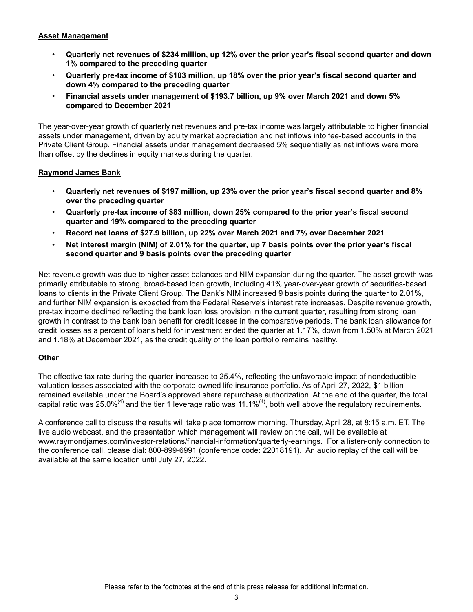### **Asset Management**

- **Quarterly net revenues of \$234 million, up 12% over the prior year's fiscal second quarter and down 1% compared to the preceding quarter**
- **Quarterly pre-tax income of \$103 million, up 18% over the prior year's fiscal second quarter and down 4% compared to the preceding quarter**
- **Financial assets under management of \$193.7 billion, up 9% over March 2021 and down 5% compared to December 2021**

The year-over-year growth of quarterly net revenues and pre-tax income was largely attributable to higher financial assets under management, driven by equity market appreciation and net inflows into fee-based accounts in the Private Client Group. Financial assets under management decreased 5% sequentially as net inflows were more than offset by the declines in equity markets during the quarter.

### **Raymond James Bank**

- **Quarterly net revenues of \$197 million, up 23% over the prior year's fiscal second quarter and 8% over the preceding quarter**
- **Quarterly pre-tax income of \$83 million, down 25% compared to the prior year's fiscal second quarter and 19% compared to the preceding quarter**
- **Record net loans of \$27.9 billion, up 22% over March 2021 and 7% over December 2021**
- **Net interest margin (NIM) of 2.01% for the quarter, up 7 basis points over the prior year's fiscal second quarter and 9 basis points over the preceding quarter**

Net revenue growth was due to higher asset balances and NIM expansion during the quarter. The asset growth was primarily attributable to strong, broad-based loan growth, including 41% year-over-year growth of securities-based loans to clients in the Private Client Group. The Bank's NIM increased 9 basis points during the quarter to 2.01%, and further NIM expansion is expected from the Federal Reserve's interest rate increases. Despite revenue growth, pre-tax income declined reflecting the bank loan loss provision in the current quarter, resulting from strong loan growth in contrast to the bank loan benefit for credit losses in the comparative periods. The bank loan allowance for credit losses as a percent of loans held for investment ended the quarter at 1.17%, down from 1.50% at March 2021 and 1.18% at December 2021, as the credit quality of the loan portfolio remains healthy.

### **Other**

The effective tax rate during the quarter increased to 25.4%, reflecting the unfavorable impact of nondeductible valuation losses associated with the corporate-owned life insurance portfolio. As of April 27, 2022, \$1 billion remained available under the Board's approved share repurchase authorization. At the end of the quarter, the total capital ratio was 25.0%<sup>(4)</sup> and the tier 1 leverage ratio was 11.1%<sup>(4)</sup>, both well above the regulatory requirements.

A conference call to discuss the results will take place tomorrow morning, Thursday, April 28, at 8:15 a.m. ET. The live audio webcast, and the presentation which management will review on the call, will be available at www.raymondjames.com/investor-relations/financial-information/quarterly-earnings. For a listen-only connection to the conference call, please dial: 800-899-6991 (conference code: 22018191). An audio replay of the call will be available at the same location until July 27, 2022.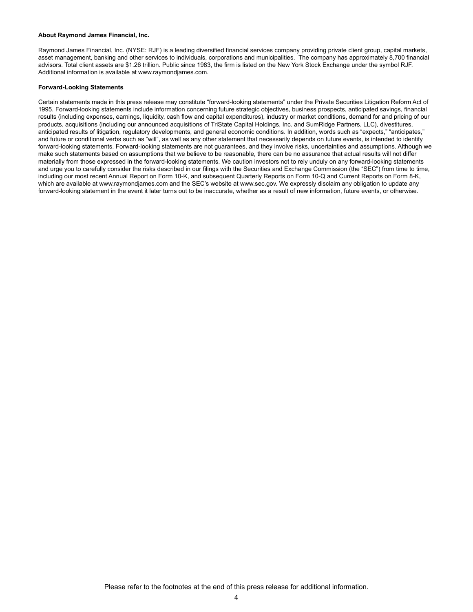### **About Raymond James Financial, Inc.**

Raymond James Financial, Inc. (NYSE: RJF) is a leading diversified financial services company providing private client group, capital markets, asset management, banking and other services to individuals, corporations and municipalities. The company has approximately 8,700 financial advisors. Total client assets are \$1.26 trillion. Public since 1983, the firm is listed on the New York Stock Exchange under the symbol RJF. Additional information is available at www.raymondjames.com.

### **Forward-Looking Statements**

Certain statements made in this press release may constitute "forward-looking statements" under the Private Securities Litigation Reform Act of 1995. Forward-looking statements include information concerning future strategic objectives, business prospects, anticipated savings, financial results (including expenses, earnings, liquidity, cash flow and capital expenditures), industry or market conditions, demand for and pricing of our products, acquisitions (including our announced acquisitions of TriState Capital Holdings, Inc. and SumRidge Partners, LLC), divestitures, anticipated results of litigation, regulatory developments, and general economic conditions. In addition, words such as "expects," "anticipates," and future or conditional verbs such as "will", as well as any other statement that necessarily depends on future events, is intended to identify forward-looking statements. Forward-looking statements are not guarantees, and they involve risks, uncertainties and assumptions. Although we make such statements based on assumptions that we believe to be reasonable, there can be no assurance that actual results will not differ materially from those expressed in the forward-looking statements. We caution investors not to rely unduly on any forward-looking statements and urge you to carefully consider the risks described in our filings with the Securities and Exchange Commission (the "SEC") from time to time, including our most recent Annual Report on Form 10-K, and subsequent Quarterly Reports on Form 10-Q and Current Reports on Form 8-K, which are available at www.raymondjames.com and the SEC's website at www.sec.gov. We expressly disclaim any obligation to update any forward-looking statement in the event it later turns out to be inaccurate, whether as a result of new information, future events, or otherwise.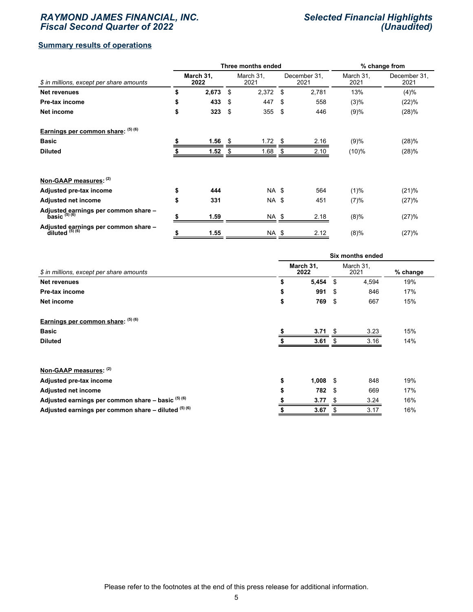### *RAYMOND JAMES FINANCIAL, INC. Fiscal Second Quarter of 2022*

### *Selected Financial Highlights (Unaudited)*

### **Summary results of operations**

|                                                             |                   |       |    | Three months ended |    | % change from        |                   |                      |  |
|-------------------------------------------------------------|-------------------|-------|----|--------------------|----|----------------------|-------------------|----------------------|--|
| \$ in millions, except per share amounts                    | March 31,<br>2022 |       |    | March 31,<br>2021  |    | December 31,<br>2021 | March 31,<br>2021 | December 31,<br>2021 |  |
| <b>Net revenues</b>                                         | \$                | 2,673 | \$ | 2,372              | \$ | 2,781                | 13%               | (4)%                 |  |
| Pre-tax income                                              | \$                | 433   | \$ | 447                | \$ | 558                  | (3)%              | (22)%                |  |
| Net income                                                  | \$                | 323   | \$ | 355                | \$ | 446                  | (9)%              | (28)%                |  |
| Earnings per common share: (5) (6)                          |                   |       |    |                    |    |                      |                   |                      |  |
| <b>Basic</b>                                                |                   | 1.56  |    | 1.72               | \$ | 2.16                 | (9)%              | (28)%                |  |
| <b>Diluted</b>                                              |                   | 1.52  |    | 1.68               |    | 2.10                 | (10)%             | (28)%                |  |
| Non-GAAP measures: (2)                                      |                   |       |    |                    |    |                      |                   |                      |  |
| Adjusted pre-tax income                                     |                   | 444   |    | NA \$              |    | 564                  | (1)%              | (21)%                |  |
| <b>Adjusted net income</b>                                  | \$                | 331   |    | NA \$              |    | 451                  | (7)%              | (27)%                |  |
| Adjusted earnings per common share -<br>basic $^{(5)(6)}$   |                   | 1.59  |    | NA \$              |    | 2.18                 | (8)%              | (27)%                |  |
| Adjusted earnings per common share -<br>diluted $^{(5)(6)}$ | \$                | 1.55  |    | <b>NA \$</b>       |    | 2.12                 | (8)%              | (27)%                |  |

|                                                         | Six months ended  |            |     |                   |          |  |  |  |  |  |
|---------------------------------------------------------|-------------------|------------|-----|-------------------|----------|--|--|--|--|--|
| \$ in millions, except per share amounts                | March 31,<br>2022 |            |     | March 31,<br>2021 | % change |  |  |  |  |  |
| <b>Net revenues</b>                                     | \$                | $5,454$ \$ |     | 4,594             | 19%      |  |  |  |  |  |
| Pre-tax income                                          | \$                | 991        | \$  | 846               | 17%      |  |  |  |  |  |
| Net income                                              | \$                | 769        | -\$ | 667               | 15%      |  |  |  |  |  |
| Earnings per common share: (5) (6)                      |                   |            |     |                   |          |  |  |  |  |  |
| <b>Basic</b>                                            |                   | 3.71       | \$. | 3.23              | 15%      |  |  |  |  |  |
| <b>Diluted</b>                                          |                   | 3.61       |     | 3.16              | 14%      |  |  |  |  |  |
| Non-GAAP measures: (2)                                  |                   |            |     |                   |          |  |  |  |  |  |
| Adjusted pre-tax income                                 | \$                | $1,008$ \$ |     | 848               | 19%      |  |  |  |  |  |
| <b>Adjusted net income</b>                              | \$                | 782        | -S  | 669               | 17%      |  |  |  |  |  |
| Adjusted earnings per common share - basic (5) (6)      |                   | 3.77       | \$  | 3.24              | 16%      |  |  |  |  |  |
| Adjusted earnings per common share $-$ diluted $(5)(6)$ |                   | 3.67       | S   | 3.17              | 16%      |  |  |  |  |  |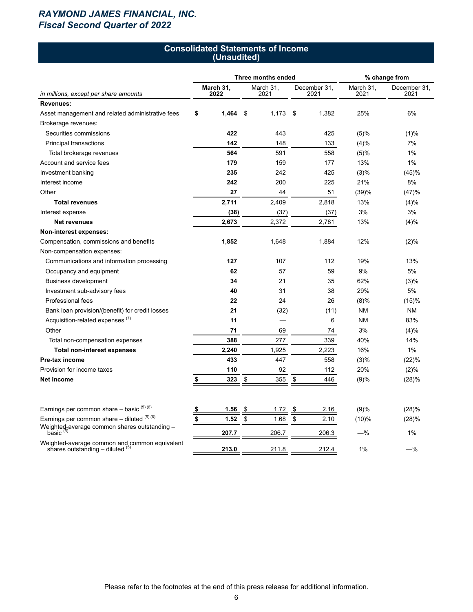# *RAYMOND JAMES FINANCIAL, INC. Fiscal Second Quarter of 2022*

### **Consolidated Statements of Income (Unaudited)**

|                                                                                       |                   |       | Three months ended | % change from     |                      |                   |                      |  |
|---------------------------------------------------------------------------------------|-------------------|-------|--------------------|-------------------|----------------------|-------------------|----------------------|--|
| in millions, except per share amounts                                                 | March 31,<br>2022 |       |                    | March 31,<br>2021 | December 31,<br>2021 | March 31,<br>2021 | December 31,<br>2021 |  |
| Revenues:                                                                             |                   |       |                    |                   |                      |                   |                      |  |
| Asset management and related administrative fees                                      | \$                | 1,464 | \$                 | 1,173             | \$<br>1,382          | 25%               | 6%                   |  |
| Brokerage revenues:                                                                   |                   |       |                    |                   |                      |                   |                      |  |
| Securities commissions                                                                |                   | 422   |                    | 443               | 425                  | (5)%              | (1)%                 |  |
| Principal transactions                                                                |                   | 142   |                    | 148               | 133                  | (4)%              | 7%                   |  |
| Total brokerage revenues                                                              |                   | 564   |                    | 591               | 558                  | (5)%              | 1%                   |  |
| Account and service fees                                                              |                   | 179   |                    | 159               | 177                  | 13%               | 1%                   |  |
| Investment banking                                                                    |                   | 235   |                    | 242               | 425                  | (3)%              | (45)%                |  |
| Interest income                                                                       |                   | 242   |                    | 200               | 225                  | 21%               | 8%                   |  |
| Other                                                                                 |                   | 27    |                    | 44                | 51                   | (39)%             | (47)%                |  |
| <b>Total revenues</b>                                                                 |                   | 2,711 |                    | 2,409             | 2,818                | 13%               | $(4)\%$              |  |
| Interest expense                                                                      |                   | (38)  |                    | (37)              | (37)                 | 3%                | 3%                   |  |
| <b>Net revenues</b>                                                                   |                   | 2,673 |                    | 2,372             | 2,781                | 13%               | $(4)\%$              |  |
| Non-interest expenses:                                                                |                   |       |                    |                   |                      |                   |                      |  |
| Compensation, commissions and benefits                                                |                   | 1,852 |                    | 1,648             | 1,884                | 12%               | (2)%                 |  |
| Non-compensation expenses:                                                            |                   |       |                    |                   |                      |                   |                      |  |
| Communications and information processing                                             |                   | 127   |                    | 107               | 112                  | 19%               | 13%                  |  |
| Occupancy and equipment                                                               |                   | 62    |                    | 57                | 59                   | 9%                | 5%                   |  |
| <b>Business development</b>                                                           |                   | 34    |                    | 21                | 35                   | 62%               | $(3)\%$              |  |
| Investment sub-advisory fees                                                          |                   | 40    |                    | 31                | 38                   | 29%               | 5%                   |  |
| <b>Professional fees</b>                                                              |                   | 22    |                    | 24                | 26                   | (8)%              | (15)%                |  |
| Bank loan provision/(benefit) for credit losses                                       |                   | 21    |                    | (32)              | (11)                 | ΝM                | ΝM                   |  |
| Acquisition-related expenses <sup>(7)</sup>                                           |                   | 11    |                    |                   | 6                    | ΝM                | 83%                  |  |
| Other                                                                                 |                   | 71    |                    | 69                | 74                   | 3%                | (4)%                 |  |
| Total non-compensation expenses                                                       |                   | 388   |                    | 277               | 339                  | 40%               | 14%                  |  |
| <b>Total non-interest expenses</b>                                                    |                   | 2,240 |                    | 1,925             | 2,223                | 16%               | $1\%$                |  |
| Pre-tax income                                                                        |                   | 433   |                    | 447               | 558                  | (3)%              | (22)%                |  |
| Provision for income taxes                                                            |                   | 110   |                    | 92                | 112                  | 20%               | $(2)\%$              |  |
| Net income                                                                            | \$                | 323   | \$                 | 355               | \$<br>446            | (9)%              | (28)%                |  |
| Earnings per common share $-$ basic $(5)(6)$                                          | \$                | 1.56  | \$                 | 1.72              | \$<br>2.16           | (9)%              | (28)%                |  |
| Earnings per common share $-$ diluted $(5)$ (6)                                       | \$                | 1.52  | \$                 | 1.68              | \$<br>2.10           | (10)%             | (28)%                |  |
| Weighted-average common shares outstanding -<br>basic $(5)$                           |                   | 207.7 |                    | 206.7             | 206.3                | $-%$              | 1%                   |  |
| Weighted-average common and common equivalent<br>shares outstanding $-$ diluted $(5)$ |                   | 213.0 |                    | 211.8             | 212.4                | 1%                | —%                   |  |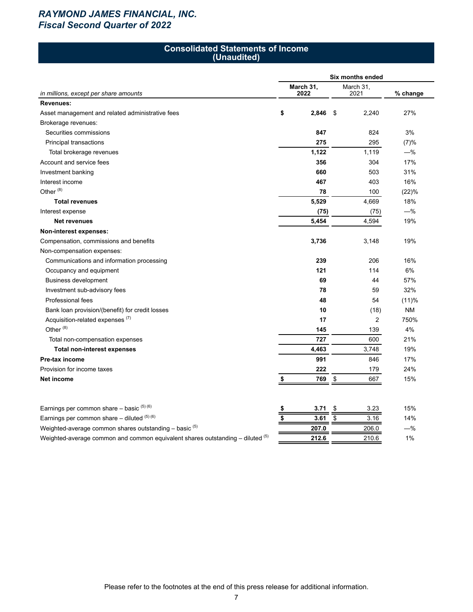# *RAYMOND JAMES FINANCIAL, INC. Fiscal Second Quarter of 2022*

### **Consolidated Statements of Income (Unaudited)**

|                                                                                | Six months ended |    |                |           |  |  |  |  |  |  |
|--------------------------------------------------------------------------------|------------------|----|----------------|-----------|--|--|--|--|--|--|
|                                                                                | March 31,        |    | March 31,      |           |  |  |  |  |  |  |
| in millions, except per share amounts                                          | 2022             |    | 2021           | % change  |  |  |  |  |  |  |
| <b>Revenues:</b>                                                               |                  |    |                |           |  |  |  |  |  |  |
| Asset management and related administrative fees                               | \$<br>2,846      | \$ | 2,240          | 27%       |  |  |  |  |  |  |
| Brokerage revenues:                                                            |                  |    |                |           |  |  |  |  |  |  |
| Securities commissions                                                         | 847              |    | 824            | 3%        |  |  |  |  |  |  |
| Principal transactions                                                         | 275              |    | 295            | (7)%      |  |  |  |  |  |  |
| Total brokerage revenues                                                       | 1,122            |    | 1,119          | $-%$      |  |  |  |  |  |  |
| Account and service fees                                                       | 356              |    | 304            | 17%       |  |  |  |  |  |  |
| Investment banking                                                             | 660              |    | 503            | 31%       |  |  |  |  |  |  |
| Interest income                                                                | 467              |    | 403            | 16%       |  |  |  |  |  |  |
| Other <sup>(8)</sup>                                                           | 78               |    | 100            | (22)%     |  |  |  |  |  |  |
| <b>Total revenues</b>                                                          | 5,529            |    | 4,669          | 18%       |  |  |  |  |  |  |
| Interest expense                                                               | (75)             |    | (75)           | $-%$      |  |  |  |  |  |  |
| <b>Net revenues</b>                                                            | 5,454            |    | 4,594          | 19%       |  |  |  |  |  |  |
| Non-interest expenses:                                                         |                  |    |                |           |  |  |  |  |  |  |
| Compensation, commissions and benefits                                         | 3,736            |    | 3,148          | 19%       |  |  |  |  |  |  |
| Non-compensation expenses:                                                     |                  |    |                |           |  |  |  |  |  |  |
| Communications and information processing                                      | 239              |    | 206            | 16%       |  |  |  |  |  |  |
| Occupancy and equipment                                                        | 121              |    | 114            | 6%        |  |  |  |  |  |  |
| <b>Business development</b>                                                    | 69               |    | 44             | 57%       |  |  |  |  |  |  |
| Investment sub-advisory fees                                                   | 78               |    | 59             | 32%       |  |  |  |  |  |  |
| Professional fees                                                              | 48               |    | 54             | (11)%     |  |  |  |  |  |  |
| Bank loan provision/(benefit) for credit losses                                | 10               |    | (18)           | <b>NM</b> |  |  |  |  |  |  |
| Acquisition-related expenses <sup>(7)</sup>                                    | 17               |    | $\overline{2}$ | 750%      |  |  |  |  |  |  |
| Other <sup>(8)</sup>                                                           | 145              |    | 139            | 4%        |  |  |  |  |  |  |
| Total non-compensation expenses                                                | 727              |    | 600            | 21%       |  |  |  |  |  |  |
| <b>Total non-interest expenses</b>                                             | 4,463            |    | 3,748          | 19%       |  |  |  |  |  |  |
| Pre-tax income                                                                 | 991              |    | 846            | 17%       |  |  |  |  |  |  |
| Provision for income taxes                                                     | 222              |    | 179            | 24%       |  |  |  |  |  |  |
| Net income                                                                     | 769<br>\$        | \$ | 667            | 15%       |  |  |  |  |  |  |
|                                                                                |                  |    |                |           |  |  |  |  |  |  |
| Earnings per common share – basic $(5)(6)$                                     | 3.71             | \$ | 3.23           | 15%       |  |  |  |  |  |  |
| Earnings per common share - diluted (5) (6)                                    | \$<br>3.61       | \$ | 3.16           | 14%       |  |  |  |  |  |  |
| Weighted-average common shares outstanding - basic (5)                         | 207.0            |    | 206.0          | $-%$      |  |  |  |  |  |  |
| Weighted-average common and common equivalent shares outstanding - diluted (5) | 212.6            |    | 210.6          | 1%        |  |  |  |  |  |  |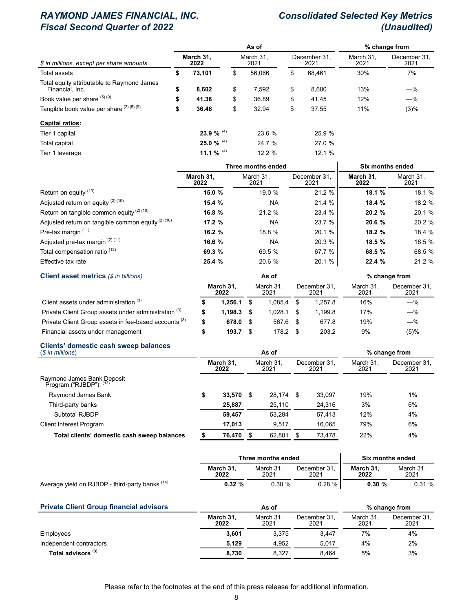# *RAYMOND JAMES FINANCIAL, INC. Consolidated Selected Key Metrics* **Fiscal Second Quarter of 2022**

|                                                               |    |                   |    | % change from     |                      |                   |                      |  |
|---------------------------------------------------------------|----|-------------------|----|-------------------|----------------------|-------------------|----------------------|--|
| \$ in millions, except per share amounts                      |    | March 31.<br>2022 |    | March 31.<br>2021 | December 31.<br>2021 | March 31.<br>2021 | December 31.<br>2021 |  |
| Total assets                                                  | \$ | 73,101            | \$ | 56.066            | \$<br>68.461         | 30%               | 7%                   |  |
| Total equity attributable to Raymond James<br>Financial, Inc. | \$ | 8,602             | \$ | 7.592             | \$<br>8,600          | 13%               | $-\%$                |  |
| Book value per share (5) (9)                                  | \$ | 41.38             | \$ | 36.89             | \$<br>41.45          | 12%               | $-\%$                |  |
| Tangible book value per share (2) (5) (9)                     | \$ | 36.46             | \$ | 32.94             | \$<br>37.55          | 11%               | (3)%                 |  |
| <b>Capital ratios:</b>                                        |    |                   |    |                   |                      |                   |                      |  |
| Tier 1 capital                                                |    | 23.9 % $^{(4)}$   |    | 23.6 %            | 25.9 %               |                   |                      |  |
| Total capital                                                 |    | 25.0 % $^{(4)}$   |    | 24.7 %            | 27.0 %               |                   |                      |  |
| Tier 1 leverage                                               |    | 11.1 % $(4)$      |    | 12.2%             | 12.1 %               |                   |                      |  |

|                                                              |                   | Three months ended | Six months ended     |                   |                   |
|--------------------------------------------------------------|-------------------|--------------------|----------------------|-------------------|-------------------|
|                                                              | March 31.<br>2022 | March 31.<br>2021  | December 31.<br>2021 | March 31,<br>2022 | March 31.<br>2021 |
| Return on equity (10)                                        | 15.0 %            | 19.0 %             | 21.2 %               | 18.1 %            | 18.1 %            |
| Adjusted return on equity (2) (10)                           | 15.4 %            | <b>NA</b>          | 21.4 %               | 18.4 %            | 18.2 %            |
| Return on tangible common equity $(2)$ (10)                  | 16.8 %            | 21.2 %             | 23.4 %               | 20.2 %            | 20.1 %            |
| Adjusted return on tangible common equity <sup>(2)(10)</sup> | 17.2 %            | <b>NA</b>          | 23.7 %               | 20.6 %            | 20.2 %            |
| Pre-tax margin (11)                                          | 16.2 %            | 18.8 %             | 20.1 %               | 18.2 %            | 18.4 %            |
| Adjusted pre-tax margin (2) (11)                             | 16.6 %            | <b>NA</b>          | 20.3 %               | 18.5 %            | 18.5 %            |
| Total compensation ratio <sup>(12)</sup>                     | 69.3 %            | 69.5 %             | 67.7 %               | 68.5 %            | 68.5 %            |
| Effective tax rate                                           | 25.4 %            | 20.6 %             | 20.1 %               | 22.4 %            | 21.2 %            |
| Client asset metrics ( <i><i>C</i> in hillions)</i>          |                   | Ac of              |                      | $%$ change from   |                   |

|         |           | AS OT   |           |                        |                  | % change from        |
|---------|-----------|---------|-----------|------------------------|------------------|----------------------|
| 2022    |           | 2021    |           | 2021                   | March 31<br>2021 | December 31,<br>2021 |
| 1.256.1 |           | 1.085.4 |           | 1.257.8                | 16%              | $-\%$                |
| 1.198.3 |           | 1.028.1 |           | 199.8                  | 17%              | $-\%$                |
| 678.0   |           |         |           | 677.8                  | 19%              | $-\%$                |
| 193.7   |           |         |           | 203.2                  | 9%               | (5)%                 |
|         | March 31, |         | March 31. | 567.6 \$<br>$178.2$ \$ | December 31,     |                      |

### **Clients' domestic cash sweep balances**

| $($in$ millions)                                      |    |                   |                   | % change from |                      |        |                   |                      |
|-------------------------------------------------------|----|-------------------|-------------------|---------------|----------------------|--------|-------------------|----------------------|
| Raymond James Bank Deposit<br>Program ("RJBDP"): (13) |    | March 31.<br>2022 | March 31,<br>2021 |               | December 31,<br>2021 |        | March 31,<br>2021 | December 31,<br>2021 |
|                                                       |    |                   |                   |               |                      |        |                   |                      |
| Raymond James Bank                                    | \$ | 33.570            | S                 | 28.174 \$     |                      | 33.097 | 19%               | 1%                   |
| Third-party banks                                     |    | 25.887            |                   | 25.110        |                      | 24,316 | 3%                | 6%                   |
| Subtotal RJBDP                                        |    | 59.457            |                   | 53.284        |                      | 57.413 | 12%               | 4%                   |
| <b>Client Interest Program</b>                        |    | 17.013            |                   | 9.517         |                      | 16,065 | 79%               | 6%                   |
| Total clients' domestic cash sweep balances           |    | 76,470            |                   | 62,801        |                      | 73,478 | 22%               | 4%                   |

|                                                 |                   | Three months ended |                      | Six months ended  |                   |  |  |
|-------------------------------------------------|-------------------|--------------------|----------------------|-------------------|-------------------|--|--|
|                                                 | March 31.<br>2022 | March 31.<br>2021  | December 31.<br>2021 | March 31.<br>2022 | March 31.<br>2021 |  |  |
| Average yield on RJBDP - third-party banks (14) | $0.32 \%$         | $0.30 \%$          | $0.28 \%$            | $0.30 \%$         | 0.31%             |  |  |

| <b>Private Client Group financial advisors</b> |                                                                | As of |       | % change from |          |                      |
|------------------------------------------------|----------------------------------------------------------------|-------|-------|---------------|----------|----------------------|
|                                                | March 31,<br>March 31.<br>December 31,<br>2022<br>2021<br>2021 |       | 2021  |               | March 31 | December 31,<br>2021 |
| Employees                                      | 3.601                                                          | 3.375 | 3.447 | 7%            | 4%       |                      |
| Independent contractors                        | 5.129                                                          | 4.952 | 5.017 | 4%            | 2%       |                      |
| Total advisors (3)                             | 8,730                                                          | 8.327 | 8,464 | 5%            | 3%       |                      |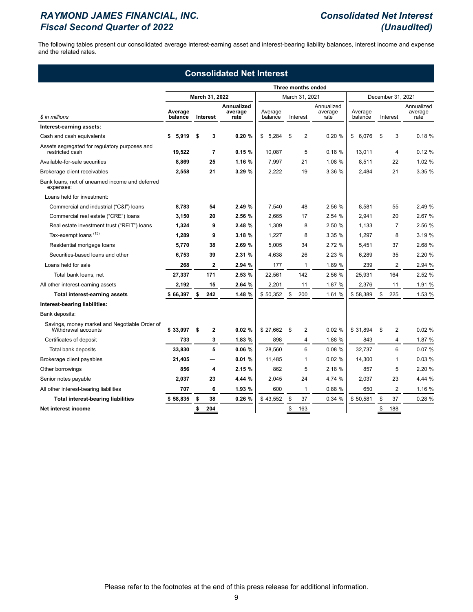# *RAYMOND JAMES FINANCIAL, INC. Consolidated Net Interest Fiscal Second Quarter of 2022 (Unaudited)*

The following tables present our consolidated average interest-earning asset and interest-bearing liability balances, interest income and expense and the related rates.

| <b>Consolidated Net Interest</b>                                     |                    |    |                |                               |                    |                |                   |                               |                    |    |                |                               |  |
|----------------------------------------------------------------------|--------------------|----|----------------|-------------------------------|--------------------|----------------|-------------------|-------------------------------|--------------------|----|----------------|-------------------------------|--|
|                                                                      | Three months ended |    |                |                               |                    |                |                   |                               |                    |    |                |                               |  |
|                                                                      |                    |    | March 31, 2022 |                               |                    | March 31, 2021 | December 31, 2021 |                               |                    |    |                |                               |  |
| \$ in millions                                                       | Average<br>balance |    | Interest       | Annualized<br>average<br>rate | Average<br>balance |                | Interest          | Annualized<br>average<br>rate | Average<br>balance |    | Interest       | Annualized<br>average<br>rate |  |
| Interest-earning assets:                                             |                    |    |                |                               |                    |                |                   |                               |                    |    |                |                               |  |
| Cash and cash equivalents                                            | 5,919<br>\$        | \$ | 3              | 0.20%                         | \$<br>5,284        | \$             | 2                 | 0.20%                         | \$<br>6,076        | \$ | 3              | 0.18%                         |  |
| Assets segregated for regulatory purposes and<br>restricted cash     | 19,522             |    | 7              | 0.15%                         | 10,087             |                | 5                 | 0.18%                         | 13,011             |    | 4              | 0.12%                         |  |
| Available-for-sale securities                                        | 8,869              |    | 25             | 1.16 %                        | 7,997              |                | 21                | 1.08 %                        | 8,511              |    | 22             | 1.02 %                        |  |
| Brokerage client receivables                                         | 2,558              |    | 21             | 3.29 %                        | 2,222              |                | 19                | 3.36 %                        | 2,484              |    | 21             | 3.35 %                        |  |
| Bank loans, net of unearned income and deferred<br>expenses:         |                    |    |                |                               |                    |                |                   |                               |                    |    |                |                               |  |
| Loans held for investment:                                           |                    |    |                |                               |                    |                |                   |                               |                    |    |                |                               |  |
| Commercial and industrial ("C&I") loans                              | 8,783              |    | 54             | 2.49 %                        | 7,540              |                | 48                | 2.56 %                        | 8,581              |    | 55             | 2.49 %                        |  |
| Commercial real estate ("CRE") loans                                 | 3,150              |    | 20             | 2.56 %                        | 2,665              |                | 17                | 2.54 %                        | 2,941              |    | 20             | 2.67 %                        |  |
| Real estate investment trust ("REIT") loans                          | 1,324              |    | 9              | 2.48 %                        | 1,309              |                | 8                 | 2.50 %                        | 1,133              |    | $\overline{7}$ | 2.56 %                        |  |
| Tax-exempt loans (15)                                                | 1,289              |    | 9              | 3.18%                         | 1,227              |                | 8                 | 3.35 %                        | 1,297              |    | 8              | 3.19 %                        |  |
| Residential mortgage loans                                           | 5,770              |    | 38             | 2.69 %                        | 5,005              |                | 34                | 2.72 %                        | 5,451              |    | 37             | 2.68 %                        |  |
| Securities-based loans and other                                     | 6,753              |    | 39             | 2.31 %                        | 4,638              |                | 26                | 2.23 %                        | 6,289              |    | 35             | 2.20 %                        |  |
| Loans held for sale                                                  | 268                |    | $\overline{2}$ | 2.94 %                        | 177                |                | $\mathbf{1}$      | 1.89 %                        | 239                |    | $\overline{2}$ | 2.94 %                        |  |
| Total bank loans, net                                                | 27,337             |    | 171            | 2.53 %                        | 22,561             |                | 142               | 2.56 %                        | 25,931             |    | 164            | 2.52 %                        |  |
| All other interest-earning assets                                    | 2,192              |    | 15             | 2.64 %                        | 2,201              |                | 11                | 1.87 %                        | 2,376              |    | 11             | 1.91 %                        |  |
| <b>Total interest-earning assets</b>                                 | \$66,397           | \$ | 242            | 1.48 %                        | \$50,352           | \$             | 200               | 1.61 %                        | \$58,389           | \$ | 225            | 1.53 %                        |  |
| Interest-bearing liabilities:                                        |                    |    |                |                               |                    |                |                   |                               |                    |    |                |                               |  |
| Bank deposits:                                                       |                    |    |                |                               |                    |                |                   |                               |                    |    |                |                               |  |
| Savings, money market and Negotiable Order of<br>Withdrawal accounts | \$33,097           | \$ | $\mathbf{2}$   | 0.02%                         | \$27,662           | \$             | 2                 | 0.02%                         | \$31,894           | \$ | $\overline{2}$ | 0.02%                         |  |
| Certificates of deposit                                              | 733                |    | 3              | 1.83 %                        | 898                |                | 4                 | 1.88 %                        | 843                |    | 4              | 1.87 %                        |  |
| Total bank deposits                                                  | 33,830             |    | 5              | 0.06%                         | 28.560             |                | 6                 | 0.08%                         | 32.737             |    | 6              | 0.07%                         |  |
| Brokerage client payables                                            | 21,405             |    |                | 0.01%                         | 11,485             |                | $\mathbf{1}$      | 0.02%                         | 14,300             |    | 1              | 0.03%                         |  |
| Other borrowings                                                     | 856                |    | 4              | 2.15%                         | 862                |                | 5                 | 2.18%                         | 857                |    | 5              | 2.20 %                        |  |
| Senior notes payable                                                 | 2,037              |    | 23             | 4.44 %                        | 2,045              |                | 24                | 4.74 %                        | 2,037              |    | 23             | 4.44 %                        |  |
| All other interest-bearing liabilities                               | 707                |    | 6              | 1.93 %                        | 600                |                | 1                 | 0.88%                         | 650                |    | $\overline{2}$ | 1.16 %                        |  |
| <b>Total interest-bearing liabilities</b>                            | \$58,835           | \$ | 38             | 0.26%                         | \$43,552           | \$             | 37                | 0.34%                         | \$50,581           | \$ | 37             | 0.28%                         |  |
| Net interest income                                                  |                    | \$ | 204            |                               |                    | \$             | 163               |                               |                    | \$ | 188            |                               |  |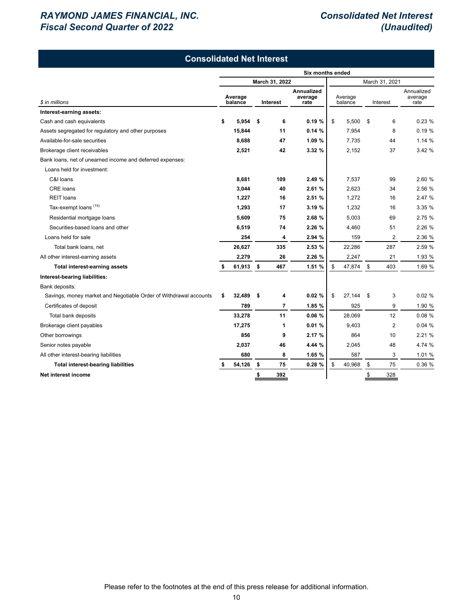# *RAYMOND JAMES FINANCIAL, INC. Consolidated Net Interest Fiscal Second Quarter of 2022 (Unaudited)*

| <b>Consolidated Net Interest</b>                                  |                  |                    |                |                |                                      |                    |        |          |                |                               |  |
|-------------------------------------------------------------------|------------------|--------------------|----------------|----------------|--------------------------------------|--------------------|--------|----------|----------------|-------------------------------|--|
|                                                                   | Six months ended |                    |                |                |                                      |                    |        |          |                |                               |  |
|                                                                   |                  |                    | March 31, 2022 |                |                                      |                    |        |          | March 31, 2021 |                               |  |
| \$ in millions                                                    |                  | Average<br>balance | Interest       |                | <b>Annualized</b><br>average<br>rate | Average<br>balance |        | Interest |                | Annualized<br>average<br>rate |  |
| Interest-earning assets:                                          |                  |                    |                |                |                                      |                    |        |          |                |                               |  |
| Cash and cash equivalents                                         | \$               | 5,954              | -\$            | 6              | 0.19%                                | \$                 | 5,500  | \$       | 6              | 0.23%                         |  |
| Assets segregated for regulatory and other purposes               |                  | 15,844             |                | 11             | 0.14%                                |                    | 7,954  |          | 8              | 0.19%                         |  |
| Available-for-sale securities                                     |                  | 8,688              |                | 47             | 1.09 %                               |                    | 7.735  |          | 44             | 1.14 %                        |  |
| Brokerage client receivables                                      |                  | 2,521              |                | 42             | 3.32 %                               |                    | 2,152  |          | 37             | 3.42 %                        |  |
| Bank loans, net of unearned income and deferred expenses:         |                  |                    |                |                |                                      |                    |        |          |                |                               |  |
| Loans held for investment:                                        |                  |                    |                |                |                                      |                    |        |          |                |                               |  |
| C&I Ioans                                                         |                  | 8.681              |                | 109            | 2.49 %                               |                    | 7.537  |          | 99             | 2.60 %                        |  |
| CRE loans                                                         |                  | 3,044              |                | 40             | 2.61 %                               |                    | 2,623  |          | 34             | 2.56 %                        |  |
| <b>REIT</b> loans                                                 |                  | 1,227              |                | 16             | 2.51 %                               |                    | 1,272  |          | 16             | 2.47 %                        |  |
| Tax-exempt loans (15)                                             |                  | 1,293              |                | 17             | 3.19 %                               |                    | 1,232  |          | 16             | 3.35 %                        |  |
| Residential mortgage loans                                        |                  | 5,609              |                | 75             | 2.68 %                               |                    | 5,003  |          | 69             | 2.75 %                        |  |
| Securities-based loans and other                                  |                  | 6,519              |                | 74             | 2.26 %                               |                    | 4,460  |          | 51             | 2.26 %                        |  |
| Loans held for sale                                               |                  | 254                |                | 4              | 2.94 %                               |                    | 159    |          | $\overline{2}$ | 2.36 %                        |  |
| Total bank loans, net                                             |                  | 26,627             |                | 335            | 2.53 %                               |                    | 22,286 |          | 287            | 2.59 %                        |  |
| All other interest-earning assets                                 |                  | 2,279              |                | 26             | 2.26 %                               |                    | 2,247  |          | 21             | 1.93 %                        |  |
| <b>Total interest-earning assets</b>                              |                  | 61,913             | \$             | 467            | 1.51 %                               | \$                 | 47,874 | \$       | 403            | 1.69 %                        |  |
| Interest-bearing liabilities:                                     |                  |                    |                |                |                                      |                    |        |          |                |                               |  |
| Bank deposits:                                                    |                  |                    |                |                |                                      |                    |        |          |                |                               |  |
| Savings, money market and Negotiable Order of Withdrawal accounts | \$               | 32,489             | \$             | 4              | 0.02%                                | \$                 | 27,144 | \$       | 3              | 0.02%                         |  |
| Certificates of deposit                                           |                  | 789                |                | $\overline{7}$ | 1.85 %                               |                    | 925    |          | 9              | 1.90 %                        |  |
| Total bank deposits                                               |                  | 33,278             |                | 11             | 0.06%                                |                    | 28,069 |          | 12             | 0.08%                         |  |
| Brokerage client payables                                         |                  | 17,275             |                | 1              | 0.01%                                |                    | 9,403  |          | $\overline{2}$ | 0.04%                         |  |
| Other borrowings                                                  |                  | 856                |                | 9              | 2.17 %                               |                    | 864    |          | 10             | 2.21 %                        |  |
| Senior notes payable                                              |                  | 2,037              |                | 46             | 4.44 %                               |                    | 2,045  |          | 48             | 4.74 %                        |  |
| All other interest-bearing liabilities                            |                  | 680                |                | 8              | 1.65 %                               |                    | 587    |          | 3              | 1.01 %                        |  |
| <b>Total interest-bearing liabilities</b>                         | s                | 54,126             | -\$            | 75             | 0.28%                                | \$                 | 40,968 | \$       | 75             | 0.36 %                        |  |
| Net interest income                                               |                  |                    | \$             | 392            |                                      |                    |        | \$       | 328            |                               |  |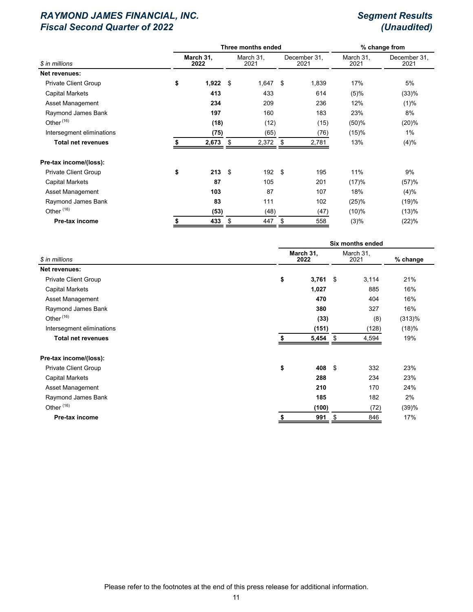|                                 |    |                   | Three months ended | % change from     |    |                      |                   |                      |  |
|---------------------------------|----|-------------------|--------------------|-------------------|----|----------------------|-------------------|----------------------|--|
| \$ in millions<br>Net revenues: |    | March 31,<br>2022 |                    | March 31,<br>2021 |    | December 31,<br>2021 | March 31,<br>2021 | December 31,<br>2021 |  |
|                                 |    |                   |                    |                   |    |                      |                   |                      |  |
| <b>Private Client Group</b>     | \$ | $1,922$ \$        |                    | $1,647$ \$        |    | 1,839                | 17%               | 5%                   |  |
| <b>Capital Markets</b>          |    | 413               |                    | 433               |    | 614                  | (5)%              | (33)%                |  |
| Asset Management                |    | 234               |                    | 209               |    | 236                  | 12%               | (1)%                 |  |
| Raymond James Bank              |    | 197               |                    | 160               |    | 183                  | 23%               | 8%                   |  |
| Other <sup>(16)</sup>           |    | (18)              |                    | (12)              |    | (15)                 | (50)%             | (20)%                |  |
| Intersegment eliminations       |    | (75)              |                    | (65)              |    | (76)                 | (15)%             | 1%                   |  |
| <b>Total net revenues</b>       |    | 2,673             | \$                 | 2,372             | \$ | 2,781                | 13%               | (4)%                 |  |
| Pre-tax income/(loss):          |    |                   |                    |                   |    |                      |                   |                      |  |
| Private Client Group            | \$ | 213               | $^{\circ}$         | 192 \$            |    | 195                  | 11%               | 9%                   |  |
| <b>Capital Markets</b>          |    | 87                |                    | 105               |    | 201                  | (17)%             | (57)%                |  |
| Asset Management                |    | 103               |                    | 87                |    | 107                  | 18%               | (4)%                 |  |
| Raymond James Bank              |    | 83                |                    | 111               |    | 102                  | (25)%             | (19)%                |  |
| Other <sup>(16)</sup>           |    | (53)              |                    | (48)              |    | (47)                 | (10)%             | (13)%                |  |
| Pre-tax income                  |    | 433               | \$                 | 447               | \$ | 558                  | (3)%              | (22)%                |  |
|                                 |    |                   |                    |                   |    |                      |                   |                      |  |

|                             | Six months ended  |             |                   |          |  |  |  |  |  |
|-----------------------------|-------------------|-------------|-------------------|----------|--|--|--|--|--|
| \$ in millions              | March 31,<br>2022 |             | March 31,<br>2021 | % change |  |  |  |  |  |
| Net revenues:               |                   |             |                   |          |  |  |  |  |  |
| <b>Private Client Group</b> | \$                | $3,761$ \$  | 3,114             | 21%      |  |  |  |  |  |
| <b>Capital Markets</b>      |                   | 1,027       | 885               | 16%      |  |  |  |  |  |
| Asset Management            |                   | 470         | 404               | 16%      |  |  |  |  |  |
| Raymond James Bank          |                   | 380         | 327               | 16%      |  |  |  |  |  |
| Other $(16)$                |                   | (33)        | (8)               | (313)%   |  |  |  |  |  |
| Intersegment eliminations   |                   | (151)       | (128)             | (18)%    |  |  |  |  |  |
| <b>Total net revenues</b>   |                   | 5,454<br>\$ | 4,594             | 19%      |  |  |  |  |  |
| Pre-tax income/(loss):      |                   |             |                   |          |  |  |  |  |  |
| <b>Private Client Group</b> | \$                | \$<br>408   | 332               | 23%      |  |  |  |  |  |
| <b>Capital Markets</b>      |                   | 288         | 234               | 23%      |  |  |  |  |  |
| Asset Management            |                   | 210         | 170               | 24%      |  |  |  |  |  |
| Raymond James Bank          |                   | 185         | 182               | 2%       |  |  |  |  |  |
| Other <sup>(16)</sup>       |                   | (100)       | (72)              | (39)%    |  |  |  |  |  |
| Pre-tax income              | \$                | 991<br>\$   | 846               | 17%      |  |  |  |  |  |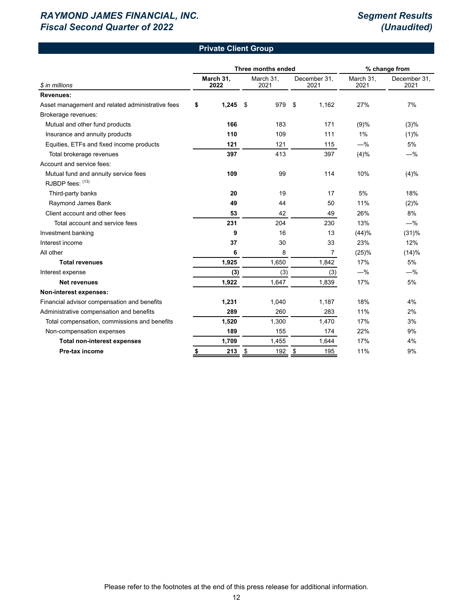## **Private Client Group**

|                                                  |    |                   | Three months ended        | % change from     |                      |                   |                      |  |
|--------------------------------------------------|----|-------------------|---------------------------|-------------------|----------------------|-------------------|----------------------|--|
| \$ in millions                                   |    | March 31,<br>2022 |                           | March 31,<br>2021 | December 31,<br>2021 | March 31,<br>2021 | December 31,<br>2021 |  |
| <b>Revenues:</b>                                 |    |                   |                           |                   |                      |                   |                      |  |
| Asset management and related administrative fees | \$ | 1,245             | \$                        | 979               | \$<br>1,162          | 27%               | 7%                   |  |
| Brokerage revenues:                              |    |                   |                           |                   |                      |                   |                      |  |
| Mutual and other fund products                   |    | 166               |                           | 183               | 171                  | (9)%              | (3)%                 |  |
| Insurance and annuity products                   |    | 110               |                           | 109               | 111                  | 1%                | (1)%                 |  |
| Equities, ETFs and fixed income products         |    | 121               |                           | 121               | 115                  | $-$ %             | 5%                   |  |
| Total brokerage revenues                         |    | 397               |                           | 413               | 397                  | (4)%              | $-%$                 |  |
| Account and service fees:                        |    |                   |                           |                   |                      |                   |                      |  |
| Mutual fund and annuity service fees             |    | 109               |                           | 99                | 114                  | 10%               | (4)%                 |  |
| RJBDP fees: (13)                                 |    |                   |                           |                   |                      |                   |                      |  |
| Third-party banks                                |    | 20                |                           | 19                | 17                   | 5%                | 18%                  |  |
| Raymond James Bank                               |    | 49                |                           | 44                | 50                   | 11%               | (2)%                 |  |
| Client account and other fees                    |    | 53                |                           | 42                | 49                   | 26%               | 8%                   |  |
| Total account and service fees                   |    | 231               |                           | 204               | 230                  | 13%               | $-$ %                |  |
| Investment banking                               |    | 9                 |                           | 16                | 13                   | (44)%             | (31)%                |  |
| Interest income                                  |    | 37                |                           | 30                | 33                   | 23%               | 12%                  |  |
| All other                                        |    | 6                 |                           | 8                 | 7                    | (25)%             | (14)%                |  |
| <b>Total revenues</b>                            |    | 1,925             |                           | 1,650             | 1,842                | 17%               | 5%                   |  |
| Interest expense                                 |    | (3)               |                           | (3)               | (3)                  | $-$ %             | $-$ %                |  |
| <b>Net revenues</b>                              |    | 1,922             |                           | 1,647             | 1,839                | 17%               | 5%                   |  |
| Non-interest expenses:                           |    |                   |                           |                   |                      |                   |                      |  |
| Financial advisor compensation and benefits      |    | 1,231             |                           | 1,040             | 1,187                | 18%               | 4%                   |  |
| Administrative compensation and benefits         |    | 289               |                           | 260               | 283                  | 11%               | 2%                   |  |
| Total compensation, commissions and benefits     |    | 1,520             |                           | 1,300             | 1,470                | 17%               | 3%                   |  |
| Non-compensation expenses                        |    | 189               |                           | 155               | 174                  | 22%               | 9%                   |  |
| <b>Total non-interest expenses</b>               |    | 1,709             |                           | 1,455             | 1,644                | 17%               | 4%                   |  |
| Pre-tax income                                   | \$ | 213               | $\boldsymbol{\mathsf{S}}$ | 192               | \$<br>195            | 11%               | 9%                   |  |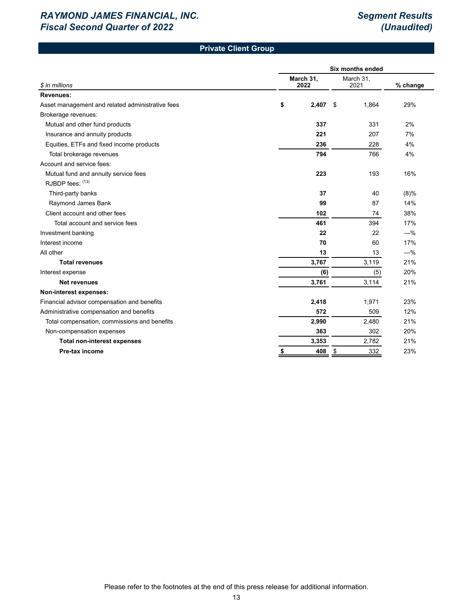# **Private Client Group**

|                                                  | <b>Six months ended</b> |                   |              |         |  |  |  |  |  |
|--------------------------------------------------|-------------------------|-------------------|--------------|---------|--|--|--|--|--|
| \$ in millions                                   | March 31,<br>2022       | March 31,<br>2021 | % change     |         |  |  |  |  |  |
| <b>Revenues:</b>                                 |                         |                   |              |         |  |  |  |  |  |
| Asset management and related administrative fees | \$                      | 2,407             | -\$<br>1,864 | 29%     |  |  |  |  |  |
| Brokerage revenues:                              |                         |                   |              |         |  |  |  |  |  |
| Mutual and other fund products                   |                         | 337               | 331          | 2%      |  |  |  |  |  |
| Insurance and annuity products                   |                         | 221               | 207          | 7%      |  |  |  |  |  |
| Equities, ETFs and fixed income products         |                         | 236               | 228          | 4%      |  |  |  |  |  |
| Total brokerage revenues                         |                         | 794               | 766          | 4%      |  |  |  |  |  |
| Account and service fees:                        |                         |                   |              |         |  |  |  |  |  |
| Mutual fund and annuity service fees             |                         | 223               | 193          | 16%     |  |  |  |  |  |
| RJBDP fees: (13)                                 |                         |                   |              |         |  |  |  |  |  |
| Third-party banks                                |                         | 37                | 40           | $(8)\%$ |  |  |  |  |  |
| Raymond James Bank                               |                         | 99                | 87           | 14%     |  |  |  |  |  |
| Client account and other fees                    |                         | 102               | 74           | 38%     |  |  |  |  |  |
| Total account and service fees                   |                         | 461               | 394          | 17%     |  |  |  |  |  |
| Investment banking                               |                         | 22                | 22           | $-\%$   |  |  |  |  |  |
| Interest income                                  |                         | 70                | 60           | 17%     |  |  |  |  |  |
| All other                                        |                         | 13                | 13           | $-$ %   |  |  |  |  |  |
| <b>Total revenues</b>                            |                         | 3,767             | 3,119        | 21%     |  |  |  |  |  |
| Interest expense                                 |                         | (6)               | (5)          | 20%     |  |  |  |  |  |
| Net revenues                                     |                         | 3,761             | 3,114        | 21%     |  |  |  |  |  |
| Non-interest expenses:                           |                         |                   |              |         |  |  |  |  |  |
| Financial advisor compensation and benefits      |                         | 2,418             | 1,971        | 23%     |  |  |  |  |  |
| Administrative compensation and benefits         |                         | 572               | 509          | 12%     |  |  |  |  |  |
| Total compensation, commissions and benefits     |                         | 2,990             | 2,480        | 21%     |  |  |  |  |  |
| Non-compensation expenses                        |                         | 363               | 302          | 20%     |  |  |  |  |  |
| <b>Total non-interest expenses</b>               |                         | 3,353             | 2,782        | 21%     |  |  |  |  |  |
| Pre-tax income                                   | \$                      | 408               | \$<br>332    | 23%     |  |  |  |  |  |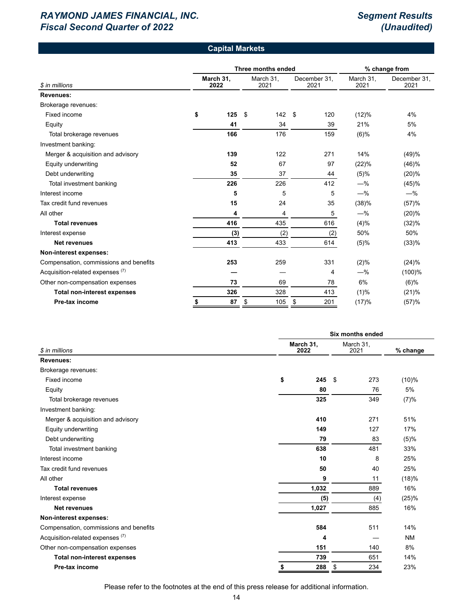### **Capital Markets**

|                                             |                   | Three months ended | % change from     |    |                      |                   |                      |
|---------------------------------------------|-------------------|--------------------|-------------------|----|----------------------|-------------------|----------------------|
| \$ in millions                              | March 31,<br>2022 |                    | March 31,<br>2021 |    | December 31,<br>2021 | March 31,<br>2021 | December 31.<br>2021 |
| <b>Revenues:</b>                            |                   |                    |                   |    |                      |                   |                      |
| Brokerage revenues:                         |                   |                    |                   |    |                      |                   |                      |
| Fixed income                                | \$<br>125         | \$                 | 142               | \$ | 120                  | (12)%             | 4%                   |
| Equity                                      | 41                |                    | 34                |    | 39                   | 21%               | 5%                   |
| Total brokerage revenues                    | 166               |                    | 176               |    | 159                  | $(6)$ %           | 4%                   |
| Investment banking:                         |                   |                    |                   |    |                      |                   |                      |
| Merger & acquisition and advisory           | 139               |                    | 122               |    | 271                  | 14%               | (49)%                |
| Equity underwriting                         | 52                |                    | 67                |    | 97                   | (22)%             | (46)%                |
| Debt underwriting                           | 35                |                    | 37                |    | 44                   | (5)%              | (20)%                |
| Total investment banking                    | 226               |                    | 226               |    | 412                  | $-\%$             | (45)%                |
| Interest income                             | 5                 |                    | 5                 |    | 5                    | $-\%$             | $-\%$                |
| Tax credit fund revenues                    | 15                |                    | 24                |    | 35                   | (38)%             | (57)%                |
| All other                                   | 4                 |                    | 4                 |    | 5                    | $-\%$             | (20)%                |
| <b>Total revenues</b>                       | 416               |                    | 435               |    | 616                  | (4)%              | (32)%                |
| Interest expense                            | (3)               |                    | (2)               |    | (2)                  | 50%               | 50%                  |
| <b>Net revenues</b>                         | 413               |                    | 433               |    | 614                  | (5)%              | (33)%                |
| Non-interest expenses:                      |                   |                    |                   |    |                      |                   |                      |
| Compensation, commissions and benefits      | 253               |                    | 259               |    | 331                  | (2)%              | (24)%                |
| Acquisition-related expenses <sup>(7)</sup> |                   |                    |                   |    | 4                    | $-$ %             | $(100)$ %            |
| Other non-compensation expenses             | 73                |                    | 69                |    | 78                   | 6%                | $(6)$ %              |
| <b>Total non-interest expenses</b>          | 326               |                    | 328               |    | 413                  | (1)%              | (21)%                |
| Pre-tax income                              | \$<br>87          | \$                 | 105               | \$ | 201                  | (17)%             | (57)%                |

|                                             | <b>Six months ended</b> |            |                   |           |  |  |  |  |
|---------------------------------------------|-------------------------|------------|-------------------|-----------|--|--|--|--|
| \$ in millions                              | March 31,<br>2022       |            | March 31,<br>2021 | % change  |  |  |  |  |
| Revenues:                                   |                         |            |                   |           |  |  |  |  |
| Brokerage revenues:                         |                         |            |                   |           |  |  |  |  |
| Fixed income                                | \$                      | -\$<br>245 | 273               | (10)%     |  |  |  |  |
| Equity                                      |                         | 80         | 76                | 5%        |  |  |  |  |
| Total brokerage revenues                    |                         | 325        | 349               | (7)%      |  |  |  |  |
| Investment banking:                         |                         |            |                   |           |  |  |  |  |
| Merger & acquisition and advisory           | 410                     |            | 271               | 51%       |  |  |  |  |
| Equity underwriting                         |                         | 149        | 127               | 17%       |  |  |  |  |
| Debt underwriting                           |                         | 79         | 83                | (5)%      |  |  |  |  |
| Total investment banking                    | 638                     |            | 481               | 33%       |  |  |  |  |
| Interest income                             |                         | 10         | 8                 | 25%       |  |  |  |  |
| Tax credit fund revenues                    |                         | 50         | 40                | 25%       |  |  |  |  |
| All other                                   |                         | 9          | 11                | (18)%     |  |  |  |  |
| <b>Total revenues</b>                       | 1,032                   |            | 889               | 16%       |  |  |  |  |
| Interest expense                            |                         | (5)        | (4)               | (25)%     |  |  |  |  |
| <b>Net revenues</b>                         | 1,027                   |            | 885               | 16%       |  |  |  |  |
| Non-interest expenses:                      |                         |            |                   |           |  |  |  |  |
| Compensation, commissions and benefits      |                         | 584        | 511               | 14%       |  |  |  |  |
| Acquisition-related expenses <sup>(7)</sup> |                         | 4          |                   | <b>NM</b> |  |  |  |  |
| Other non-compensation expenses             | 151                     |            | 140               | 8%        |  |  |  |  |
| <b>Total non-interest expenses</b>          | 739                     |            | 651               | 14%       |  |  |  |  |
| Pre-tax income                              | \$                      | \$<br>288  | 234               | 23%       |  |  |  |  |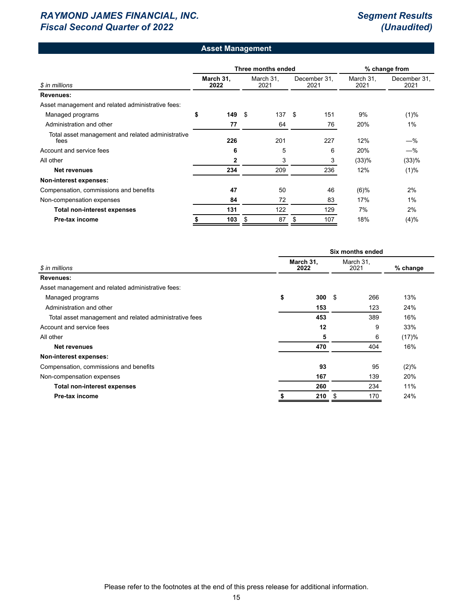### **Asset Management**

|                                                           |    |                   |    | Three months ended | % change from |                      |                   |                      |  |
|-----------------------------------------------------------|----|-------------------|----|--------------------|---------------|----------------------|-------------------|----------------------|--|
| \$ in millions                                            |    | March 31,<br>2022 |    | March 31,<br>2021  |               | December 31,<br>2021 | March 31,<br>2021 | December 31.<br>2021 |  |
| Revenues:                                                 |    |                   |    |                    |               |                      |                   |                      |  |
| Asset management and related administrative fees:         |    |                   |    |                    |               |                      |                   |                      |  |
| Managed programs                                          | \$ | 149               | \$ | 137                | -\$           | 151                  | 9%                | $(1)\%$              |  |
| Administration and other                                  |    | 77                |    | 64                 |               | 76                   | 20%               | 1%                   |  |
| Total asset management and related administrative<br>fees |    | 226               |    | 201                |               | 227                  | 12%               | $-\%$                |  |
| Account and service fees                                  |    | 6                 |    | 5                  |               | 6                    | 20%               | $-\%$                |  |
| All other                                                 |    | 2                 |    | 3                  |               | 3                    | (33)%             | (33)%                |  |
| <b>Net revenues</b>                                       |    | 234               |    | 209                |               | 236                  | 12%               | $(1)\%$              |  |
| Non-interest expenses:                                    |    |                   |    |                    |               |                      |                   |                      |  |
| Compensation, commissions and benefits                    |    | 47                |    | 50                 |               | 46                   | $(6)$ %           | 2%                   |  |
| Non-compensation expenses                                 |    | 84                |    | 72                 |               | 83                   | 17%               | 1%                   |  |
| Total non-interest expenses                               |    | 131               |    | 122                |               | 129                  | 7%                | 2%                   |  |
| Pre-tax income                                            |    | 103               | \$ | 87                 | S             | 107                  | 18%               | (4)%                 |  |

|                                                        | Six months ended  |     |    |                   |          |  |  |  |  |
|--------------------------------------------------------|-------------------|-----|----|-------------------|----------|--|--|--|--|
| \$ in millions                                         | March 31,<br>2022 |     |    | March 31,<br>2021 | % change |  |  |  |  |
| Revenues:                                              |                   |     |    |                   |          |  |  |  |  |
| Asset management and related administrative fees:      |                   |     |    |                   |          |  |  |  |  |
| Managed programs                                       | \$                | 300 | \$ | 266               | 13%      |  |  |  |  |
| Administration and other                               |                   | 153 |    | 123               | 24%      |  |  |  |  |
| Total asset management and related administrative fees |                   | 453 |    | 389               | 16%      |  |  |  |  |
| Account and service fees                               |                   | 12  |    | 9                 | 33%      |  |  |  |  |
| All other                                              |                   | 5   |    | 6                 | (17)%    |  |  |  |  |
| Net revenues                                           |                   | 470 |    | 404               | 16%      |  |  |  |  |
| Non-interest expenses:                                 |                   |     |    |                   |          |  |  |  |  |
| Compensation, commissions and benefits                 |                   | 93  |    | 95                | $(2)\%$  |  |  |  |  |
| Non-compensation expenses                              |                   | 167 |    | 139               | 20%      |  |  |  |  |
| <b>Total non-interest expenses</b>                     |                   | 260 |    | 234               | 11%      |  |  |  |  |
| Pre-tax income                                         |                   | 210 |    | 170               | 24%      |  |  |  |  |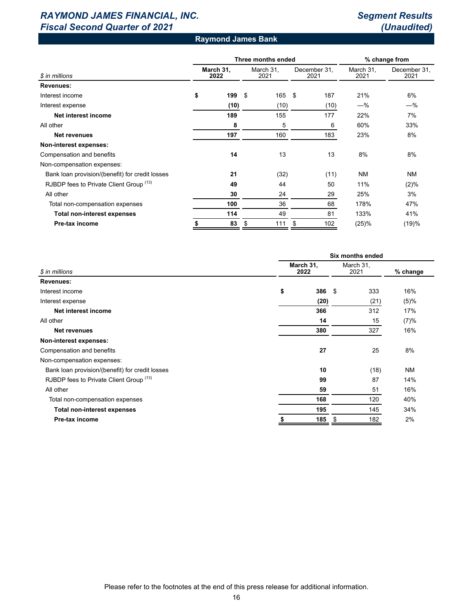# *RAYMOND JAMES FINANCIAL, INC. Segment Results Fiscal Second Quarter of 2021 (Unaudited)*

### **Raymond James Bank**

|                                                 |    |                   | Three months ended | % change from     |     |                      |                   |                      |  |
|-------------------------------------------------|----|-------------------|--------------------|-------------------|-----|----------------------|-------------------|----------------------|--|
| \$ in millions                                  |    | March 31,<br>2022 |                    | March 31,<br>2021 |     | December 31,<br>2021 | March 31.<br>2021 | December 31,<br>2021 |  |
| Revenues:                                       |    |                   |                    |                   |     |                      |                   |                      |  |
| Interest income                                 | \$ | 199               | \$                 | 165               | -\$ | 187                  | 21%               | 6%                   |  |
| Interest expense                                |    | (10)              |                    | (10)              |     | (10)                 | $-\%$             | $-\%$                |  |
| Net interest income                             |    | 189               |                    | 155               |     | 177                  | 22%               | 7%                   |  |
| All other                                       |    | 8                 |                    | 5                 |     | 6                    | 60%               | 33%                  |  |
| Net revenues                                    |    | 197               |                    | 160               |     | 183                  | 23%               | 8%                   |  |
| Non-interest expenses:                          |    |                   |                    |                   |     |                      |                   |                      |  |
| Compensation and benefits                       |    | 14                |                    | 13                |     | 13                   | 8%                | 8%                   |  |
| Non-compensation expenses:                      |    |                   |                    |                   |     |                      |                   |                      |  |
| Bank loan provision/(benefit) for credit losses |    | 21                |                    | (32)              |     | (11)                 | <b>NM</b>         | <b>NM</b>            |  |
| RJBDP fees to Private Client Group (13)         |    | 49                |                    | 44                |     | 50                   | 11%               | (2)%                 |  |
| All other                                       |    | 30                |                    | 24                |     | 29                   | 25%               | 3%                   |  |
| Total non-compensation expenses                 |    | 100               |                    | 36                |     | 68                   | 178%              | 47%                  |  |
| <b>Total non-interest expenses</b>              |    | 114               |                    | 49                |     | 81                   | 133%              | 41%                  |  |
| Pre-tax income                                  |    | 83                | \$                 | 111               | \$  | 102                  | (25)%             | (19)%                |  |

| Six months ended  |      |    |          |                   |  |  |  |
|-------------------|------|----|----------|-------------------|--|--|--|
| March 31,<br>2022 |      |    |          | % change          |  |  |  |
|                   |      |    |          |                   |  |  |  |
| \$                |      |    | 333      | 16%               |  |  |  |
|                   | (20) |    | (21)     | (5)%              |  |  |  |
|                   | 366  |    | 312      | 17%               |  |  |  |
|                   | 14   |    | 15       | (7)%              |  |  |  |
|                   | 380  |    | 327      | 16%               |  |  |  |
|                   |      |    |          |                   |  |  |  |
|                   | 27   |    | 25       | 8%                |  |  |  |
|                   |      |    |          |                   |  |  |  |
|                   | 10   |    | (18)     | <b>NM</b>         |  |  |  |
|                   | 99   |    | 87       | 14%               |  |  |  |
|                   | 59   |    | 51       | 16%               |  |  |  |
|                   | 168  |    | 120      | 40%               |  |  |  |
|                   | 195  |    | 145      | 34%               |  |  |  |
|                   | 185  | \$ | 182      | 2%                |  |  |  |
|                   |      |    | $386$ \$ | March 31,<br>2021 |  |  |  |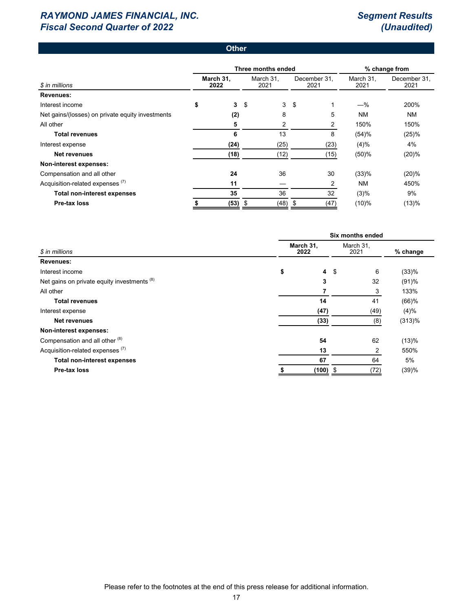### **Other**

|                                                  |                   |              | Three months ended | % change from |                      |      |                   |                      |  |
|--------------------------------------------------|-------------------|--------------|--------------------|---------------|----------------------|------|-------------------|----------------------|--|
| \$ in millions                                   | March 31.<br>2022 |              | March 31.<br>2021  |               | December 31,<br>2021 |      | March 31.<br>2021 | December 31,<br>2021 |  |
| <b>Revenues:</b>                                 |                   |              |                    |               |                      |      |                   |                      |  |
| Interest income                                  | \$                | $\mathbf{3}$ | -\$                | 3             | \$                   |      | $-\%$             | 200%                 |  |
| Net gains/(losses) on private equity investments |                   | (2)          |                    | 8             |                      | 5    | NM                | <b>NM</b>            |  |
| All other                                        |                   | 5            |                    | 2             |                      | 2    | 150%              | 150%                 |  |
| <b>Total revenues</b>                            |                   | 6            |                    | 13            |                      | 8    | (54)%             | (25)%                |  |
| Interest expense                                 |                   | (24)         |                    | (25)          |                      | (23) | (4)%              | 4%                   |  |
| Net revenues                                     |                   | (18)         |                    | (12)          |                      | (15) | (50)%             | (20)%                |  |
| Non-interest expenses:                           |                   |              |                    |               |                      |      |                   |                      |  |
| Compensation and all other                       |                   | 24           |                    | 36            |                      | 30   | (33)%             | (20)%                |  |
| Acquisition-related expenses <sup>(7)</sup>      |                   | 11           |                    |               |                      | 2    | NM                | 450%                 |  |
| <b>Total non-interest expenses</b>               |                   | 35           |                    | 36            |                      | 32   | (3)%              | 9%                   |  |
| Pre-tax loss                                     |                   | (53)         | \$                 | (48)          | -\$                  | (47) | (10)%             | (13)%                |  |

|                                             | Six months ended     |                   |      |          |  |  |  |  |  |
|---------------------------------------------|----------------------|-------------------|------|----------|--|--|--|--|--|
| \$ in millions                              | March 31,<br>2022    | March 31,<br>2021 |      | % change |  |  |  |  |  |
| Revenues:                                   |                      |                   |      |          |  |  |  |  |  |
| Interest income                             | $\overline{4}$<br>\$ | -\$               | 6    | (33)%    |  |  |  |  |  |
| Net gains on private equity investments (8) | 3                    |                   | 32   | (91)%    |  |  |  |  |  |
| All other                                   |                      |                   | 3    | 133%     |  |  |  |  |  |
| <b>Total revenues</b>                       | 14                   |                   | 41   | $(66)$ % |  |  |  |  |  |
| Interest expense                            | (47)                 |                   | (49) | $(4)\%$  |  |  |  |  |  |
| <b>Net revenues</b>                         | (33)                 |                   | (8)  | (313)%   |  |  |  |  |  |
| Non-interest expenses:                      |                      |                   |      |          |  |  |  |  |  |
| Compensation and all other (8)              | 54                   |                   | 62   | (13)%    |  |  |  |  |  |
| Acquisition-related expenses <sup>(7)</sup> | 13                   |                   | 2    | 550%     |  |  |  |  |  |
| <b>Total non-interest expenses</b>          | 67                   |                   | 64   | 5%       |  |  |  |  |  |
| Pre-tax loss                                | (100)                | - \$              | (72) | (39)%    |  |  |  |  |  |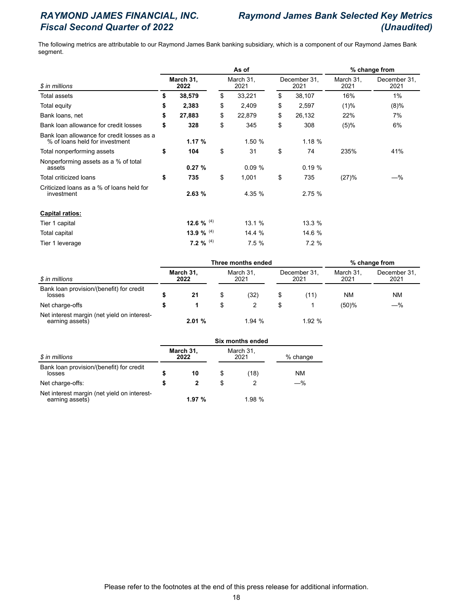# *RAYMOND JAMES FINANCIAL, INC. Raymond James Bank Selected Key Metrics Fiscal Second Quarter of 2022 (Unaudited)*

The following metrics are attributable to our Raymond James Bank banking subsidiary, which is a component of our Raymond James Bank segment.

|                                                                              |                   |              |    | % change from     |                      |                   |                      |  |
|------------------------------------------------------------------------------|-------------------|--------------|----|-------------------|----------------------|-------------------|----------------------|--|
| \$ in millions<br>Total assets                                               | March 31,<br>2022 |              |    | March 31,<br>2021 | December 31,<br>2021 | March 31,<br>2021 | December 31,<br>2021 |  |
|                                                                              | \$                | 38,579       | \$ | 33,221            | \$<br>38,107         | 16%               | 1%                   |  |
| Total equity                                                                 | \$                | 2,383        | \$ | 2,409             | \$<br>2,597          | (1)%              | (8)%                 |  |
| Bank loans, net                                                              | \$                | 27,883       | \$ | 22,879            | \$<br>26,132         | 22%               | 7%                   |  |
| Bank loan allowance for credit losses                                        | \$                | 328          | \$ | 345               | \$<br>308            | (5)%              | 6%                   |  |
| Bank loan allowance for credit losses as a<br>% of loans held for investment |                   | 1.17%        |    | 1.50%             | 1.18%                |                   |                      |  |
| Total nonperforming assets                                                   | \$                | 104          | \$ | 31                | \$<br>74             | 235%              | 41%                  |  |
| Nonperforming assets as a % of total<br>assets                               |                   | 0.27%        |    | 0.09%             | 0.19%                |                   |                      |  |
| Total criticized loans                                                       | \$                | 735          | \$ | 1,001             | \$<br>735            | (27)%             | $-\%$                |  |
| Criticized loans as a % of loans held for<br>investment                      |                   | 2.63%        |    | 4.35 %            | 2.75%                |                   |                      |  |
| <b>Capital ratios:</b>                                                       |                   |              |    |                   |                      |                   |                      |  |
| Tier 1 capital                                                               |                   | 12.6 % $(4)$ |    | 13.1 %            | 13.3 %               |                   |                      |  |
| Total capital                                                                |                   | 13.9 % $(4)$ |    | 14.4 %            | 14.6 %               |                   |                      |  |
| Tier 1 leverage                                                              |                   | 7.2 % $(4)$  |    | 7.5%              | 7.2%                 |                   |                      |  |

|                                                                      |                   |       | Three months ended | % change from     |                      |                   |                      |
|----------------------------------------------------------------------|-------------------|-------|--------------------|-------------------|----------------------|-------------------|----------------------|
| \$ in millions<br>Bank loan provision/(benefit) for credit<br>losses | March 31,<br>2022 |       |                    | March 31.<br>2021 | December 31.<br>2021 | March 31.<br>2021 | December 31,<br>2021 |
|                                                                      |                   | 21    | S                  | (32)              | ้11)                 | <b>NM</b>         | ΝM                   |
| Net charge-offs                                                      |                   |       |                    |                   |                      | (50)%             | $-\%$                |
| Net interest margin (net yield on interest-<br>earning assets)       |                   | 2.01% |                    | 1.94%             | 1.92%                |                   |                      |

|                                                                | Six months ended |                   |    |                   |          |  |  |  |  |  |
|----------------------------------------------------------------|------------------|-------------------|----|-------------------|----------|--|--|--|--|--|
| \$ in millions                                                 |                  | March 31,<br>2022 |    | March 31,<br>2021 | % change |  |  |  |  |  |
| Bank loan provision/(benefit) for credit<br>losses             |                  | 10                | \$ | (18)              | NM       |  |  |  |  |  |
| Net charge-offs:                                               |                  | 2                 | S  |                   | -%       |  |  |  |  |  |
| Net interest margin (net yield on interest-<br>earning assets) |                  | 1.97%             |    | 1.98%             |          |  |  |  |  |  |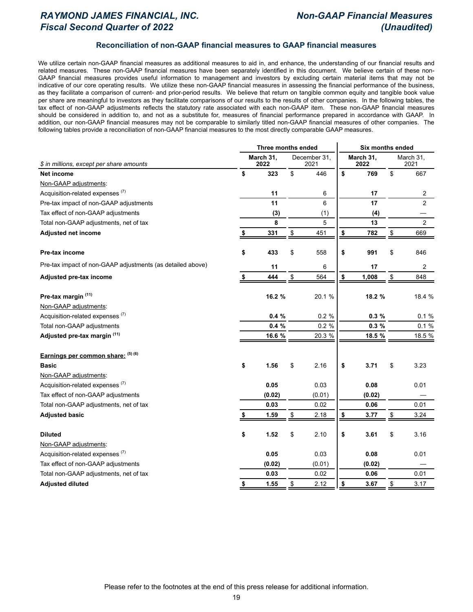# *RAYMOND JAMES FINANCIAL, INC. Non-GAAP Financial Measures Fiscal Second Quarter of 2022 (Unaudited)*

### **Reconciliation of non-GAAP financial measures to GAAP financial measures**

We utilize certain non-GAAP financial measures as additional measures to aid in, and enhance, the understanding of our financial results and related measures. These non-GAAP financial measures have been separately identified in this document. We believe certain of these non-GAAP financial measures provides useful information to management and investors by excluding certain material items that may not be indicative of our core operating results. We utilize these non-GAAP financial measures in assessing the financial performance of the business, as they facilitate a comparison of current- and prior-period results. We believe that return on tangible common equity and tangible book value per share are meaningful to investors as they facilitate comparisons of our results to the results of other companies. In the following tables, the tax effect of non-GAAP adjustments reflects the statutory rate associated with each non-GAAP item. These non-GAAP financial measures should be considered in addition to, and not as a substitute for, measures of financial performance prepared in accordance with GAAP. In addition, our non-GAAP financial measures may not be comparable to similarly titled non-GAAP financial measures of other companies. The following tables provide a reconciliation of non-GAAP financial measures to the most directly comparable GAAP measures.

|                                                            | Three months ended |            |                      | <b>Six months ended</b> |                   |                   |                |  |  |
|------------------------------------------------------------|--------------------|------------|----------------------|-------------------------|-------------------|-------------------|----------------|--|--|
| \$ in millions, except per share amounts                   | March 31,<br>2022  |            | December 31,<br>2021 |                         | March 31,<br>2022 | March 31,<br>2021 |                |  |  |
| Net income                                                 | \$<br>323          | \$         | 446                  | \$                      | 769               | \$                | 667            |  |  |
| Non-GAAP adjustments:                                      |                    |            |                      |                         |                   |                   |                |  |  |
| Acquisition-related expenses <sup>(7)</sup>                | 11                 |            | 6                    |                         | 17                |                   | $\sqrt{2}$     |  |  |
| Pre-tax impact of non-GAAP adjustments                     | 11                 |            | 6                    |                         | 17                |                   | $\overline{2}$ |  |  |
| Tax effect of non-GAAP adjustments                         | (3)                |            | (1)                  |                         | (4)               |                   |                |  |  |
| Total non-GAAP adjustments, net of tax                     | 8                  |            | 5                    |                         | 13                |                   | $\overline{2}$ |  |  |
| Adjusted net income                                        | \$<br>331          | $\pmb{\$}$ | 451                  | $\frac{1}{2}$           | 782               | \$                | 669            |  |  |
| Pre-tax income                                             | \$<br>433          | \$         | 558                  | \$                      | 991               | \$                | 846            |  |  |
| Pre-tax impact of non-GAAP adjustments (as detailed above) | 11                 |            | 6                    |                         | 17                |                   | $\overline{c}$ |  |  |
| Adjusted pre-tax income                                    | 444                | \$         | 564                  | $\pmb{\$}$              | 1,008             | \$                | 848            |  |  |
| Pre-tax margin (11)                                        | 16.2 %             |            | 20.1 %               |                         | 18.2 %            |                   | 18.4 %         |  |  |
| Non-GAAP adjustments:                                      |                    |            |                      |                         |                   |                   |                |  |  |
| Acquisition-related expenses <sup>(7)</sup>                | 0.4%               |            | 0.2%                 |                         | 0.3%              |                   | 0.1%           |  |  |
| Total non-GAAP adjustments                                 | 0.4%               |            | 0.2 %                |                         | 0.3%              |                   | 0.1%           |  |  |
| Adjusted pre-tax margin (11)                               | 16.6 %             |            | 20.3 %               |                         | 18.5 %            |                   | 18.5 %         |  |  |
| Earnings per common share: (5) (6)                         |                    |            |                      |                         |                   |                   |                |  |  |
| <b>Basic</b>                                               | \$<br>1.56         | \$         | 2.16                 | \$                      | 3.71              | \$                | 3.23           |  |  |
| Non-GAAP adjustments:                                      |                    |            |                      |                         |                   |                   |                |  |  |
| Acquisition-related expenses <sup>(7)</sup>                | 0.05               |            | 0.03                 |                         | 0.08              |                   | 0.01           |  |  |
| Tax effect of non-GAAP adjustments                         | (0.02)             |            | (0.01)               |                         | (0.02)            |                   |                |  |  |
| Total non-GAAP adjustments, net of tax                     | 0.03               |            | 0.02                 |                         | 0.06              |                   | 0.01           |  |  |
| <b>Adjusted basic</b>                                      | 1.59               | \$         | 2.18                 | \$                      | 3.77              | \$                | 3.24           |  |  |
| <b>Diluted</b>                                             | \$<br>1.52         | \$         | 2.10                 | \$                      | 3.61              | \$                | 3.16           |  |  |
| Non-GAAP adjustments:                                      |                    |            |                      |                         |                   |                   |                |  |  |
| Acquisition-related expenses <sup>(7)</sup>                | 0.05               |            | 0.03                 |                         | 0.08              |                   | 0.01           |  |  |
| Tax effect of non-GAAP adjustments                         | (0.02)             |            | (0.01)               |                         | (0.02)            |                   |                |  |  |
| Total non-GAAP adjustments, net of tax                     | 0.03               |            | 0.02                 |                         | 0.06              |                   | 0.01           |  |  |
| <b>Adjusted diluted</b>                                    | \$<br>1.55         | \$         | 2.12                 | \$                      | 3.67              | \$                | 3.17           |  |  |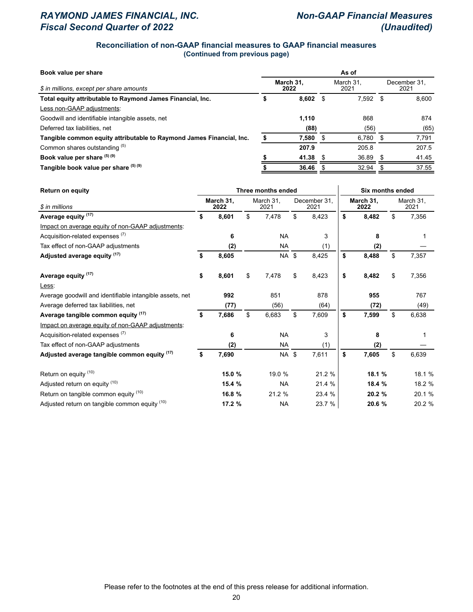# *RAYMOND JAMES FINANCIAL, INC. Non-GAAP Financial Measures Fiscal Second Quarter of 2022 (Unaudited)*

### **Reconciliation of non-GAAP financial measures to GAAP financial measures (Continued from previous page)**

| Book value per share                                                 | As of             |       |      |                   |                      |       |  |  |  |  |
|----------------------------------------------------------------------|-------------------|-------|------|-------------------|----------------------|-------|--|--|--|--|
| \$ in millions, except per share amounts                             | March 31.<br>2022 |       |      | March 31.<br>2021 | December 31.<br>2021 |       |  |  |  |  |
| Total equity attributable to Raymond James Financial, Inc.           |                   | 8.602 | - \$ | $7.592$ \$        |                      | 8.600 |  |  |  |  |
| Less non-GAAP adjustments:                                           |                   |       |      |                   |                      |       |  |  |  |  |
| Goodwill and identifiable intangible assets, net                     |                   | 1,110 |      | 868               |                      | 874   |  |  |  |  |
| Deferred tax liabilities, net                                        |                   | (88)  |      | (56)              |                      | (65)  |  |  |  |  |
| Tangible common equity attributable to Raymond James Financial, Inc. |                   | 7,580 | - \$ | $6,780$ \$        |                      | 7,791 |  |  |  |  |
| Common shares outstanding (5)                                        |                   | 207.9 |      | 205.8             |                      | 207.5 |  |  |  |  |
| Book value per share $(5)(9)$                                        |                   | 41.38 | - \$ | 36.89             | - \$                 | 41.45 |  |  |  |  |
| Tangible book value per share (5) (9)                                |                   | 36.46 |      | 32.94             |                      | 37.55 |  |  |  |  |

| <b>Return on equity</b>                                  |    |                   |                   | Three months ended | <b>Six months ended</b> |        |                   |        |                   |        |
|----------------------------------------------------------|----|-------------------|-------------------|--------------------|-------------------------|--------|-------------------|--------|-------------------|--------|
| \$ in millions                                           |    | March 31,<br>2022 | March 31.<br>2021 |                    | December 31.<br>2021    |        | March 31,<br>2022 |        | March 31,<br>2021 |        |
| Average equity <sup>(17)</sup>                           | \$ | 8,601             | \$                | 7,478              | \$                      | 8,423  | \$                | 8,482  | \$                | 7,356  |
| Impact on average equity of non-GAAP adjustments:        |    |                   |                   |                    |                         |        |                   |        |                   |        |
| Acquisition-related expenses <sup>(7)</sup>              |    | 6                 |                   | <b>NA</b>          |                         | 3      |                   | 8      |                   |        |
| Tax effect of non-GAAP adjustments                       |    | (2)               |                   | <b>NA</b>          |                         | (1)    |                   | (2)    |                   |        |
| Adjusted average equity (17)                             | \$ | 8,605             |                   | <b>NA</b>          | \$                      | 8,425  | \$                | 8,488  | \$                | 7,357  |
| Average equity (17)                                      | \$ | 8,601             | \$                | 7,478              | \$                      | 8,423  | \$                | 8,482  | \$                | 7,356  |
| Less:                                                    |    |                   |                   |                    |                         |        |                   |        |                   |        |
| Average goodwill and identifiable intangible assets, net |    | 992               |                   | 851                |                         | 878    |                   | 955    |                   | 767    |
| Average deferred tax liabilities, net                    |    | (77)              |                   | (56)               |                         | (64)   |                   | (72)   |                   | (49)   |
| Average tangible common equity (17)                      | S. | 7,686             | \$                | 6,683              | \$                      | 7,609  | \$                | 7,599  | \$                | 6,638  |
| Impact on average equity of non-GAAP adjustments:        |    |                   |                   |                    |                         |        |                   |        |                   |        |
| Acquisition-related expenses <sup>(7)</sup>              |    | 6                 |                   | <b>NA</b>          |                         | 3      |                   | 8      |                   |        |
| Tax effect of non-GAAP adjustments                       |    | (2)               |                   | <b>NA</b>          |                         | (1)    |                   | (2)    |                   |        |
| Adjusted average tangible common equity (17)             | \$ | 7,690             |                   | NA \$              |                         | 7,611  | \$                | 7,605  | \$                | 6,639  |
| Return on equity (10)                                    |    | 15.0 %            |                   | 19.0 %             |                         | 21.2 % |                   | 18.1 % |                   | 18.1 % |
| Adjusted return on equity (10)                           |    | 15.4 %            |                   | <b>NA</b>          |                         | 21.4 % |                   | 18.4 % |                   | 18.2 % |
| Return on tangible common equity (10)                    |    | 16.8 %            |                   | 21.2 %             |                         | 23.4 % |                   | 20.2 % |                   | 20.1 % |
| Adjusted return on tangible common equity (10)           |    | 17.2 %            |                   | <b>NA</b>          |                         | 23.7 % |                   | 20.6 % |                   | 20.2 % |